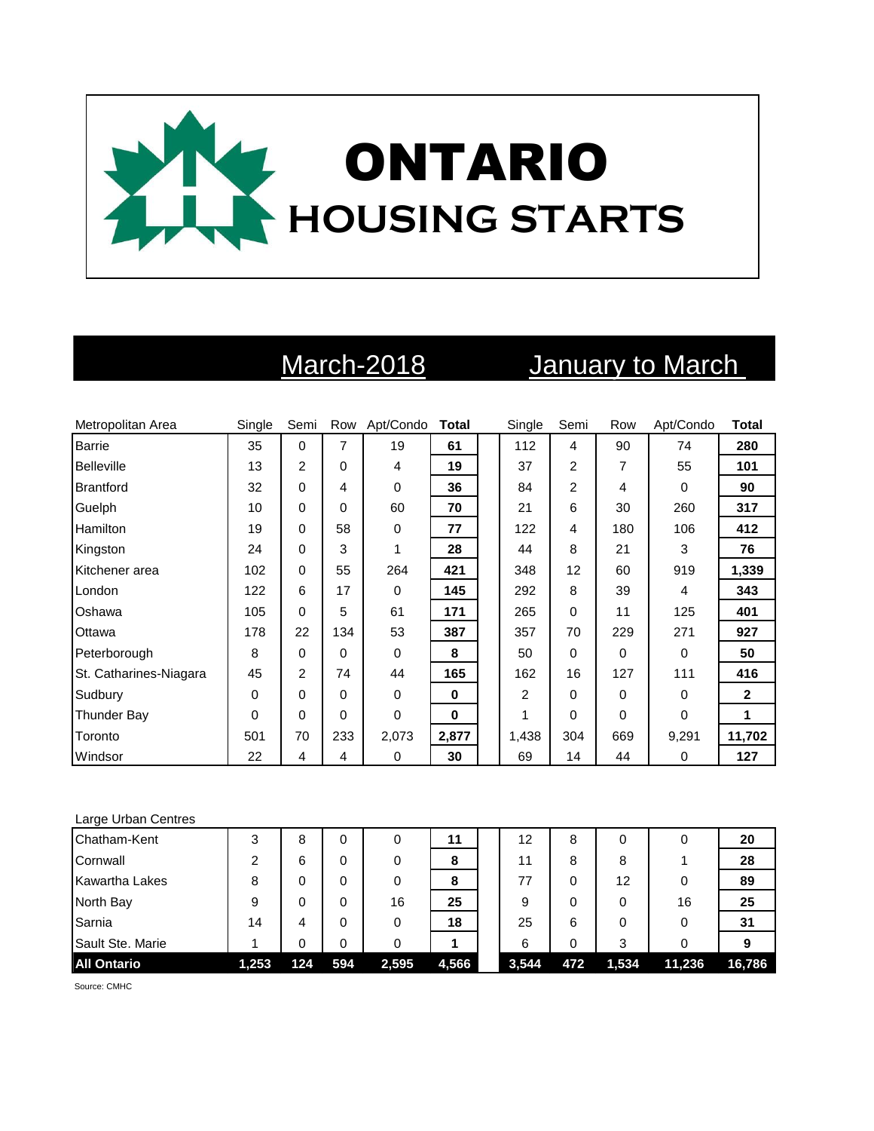

# March-2018 **January to March**

| Metropolitan Area      | Single   | Semi           |          | Row Apt/Condo | <b>Total</b> | Single         | Semi           | Row | Apt/Condo | <b>Total</b> |
|------------------------|----------|----------------|----------|---------------|--------------|----------------|----------------|-----|-----------|--------------|
| <b>Barrie</b>          | 35       | $\mathbf 0$    | 7        | 19            | 61           | 112            | 4              | 90  | 74        | 280          |
| <b>Belleville</b>      | 13       | $\overline{2}$ | $\Omega$ | 4             | 19           | 37             | 2              | 7   | 55        | 101          |
| Brantford              | 32       | 0              | 4        | 0             | 36           | 84             | $\overline{2}$ | 4   | $\Omega$  | 90           |
| Guelph                 | 10       | 0              | $\Omega$ | 60            | 70           | 21             | 6              | 30  | 260       | 317          |
| Hamilton               | 19       | 0              | 58       | 0             | 77           | 122            | 4              | 180 | 106       | 412          |
| Kingston               | 24       | 0              | 3        | 1             | 28           | 44             | 8              | 21  | 3         | 76           |
| Kitchener area         | 102      | 0              | 55       | 264           | 421          | 348            | 12             | 60  | 919       | 1,339        |
| London                 | 122      | 6              | 17       | 0             | 145          | 292            | 8              | 39  | 4         | 343          |
| Oshawa                 | 105      | 0              | 5        | 61            | 171          | 265            | 0              | 11  | 125       | 401          |
| Ottawa                 | 178      | 22             | 134      | 53            | 387          | 357            | 70             | 229 | 271       | 927          |
| Peterborough           | 8        | $\Omega$       | $\Omega$ | 0             | 8            | 50             | 0              | 0   | $\Omega$  | 50           |
| St. Catharines-Niagara | 45       | $\overline{c}$ | 74       | 44            | 165          | 162            | 16             | 127 | 111       | 416          |
| Sudbury                | 0        | 0              | $\Omega$ | 0             | 0            | $\overline{c}$ | 0              | 0   | $\Omega$  | $\mathbf{2}$ |
| Thunder Bay            | $\Omega$ | 0              | $\Omega$ | 0             | $\bf{0}$     | 1              | 0              | 0   | $\Omega$  | 1            |
| Toronto                | 501      | 70             | 233      | 2,073         | 2,877        | 1,438          | 304            | 669 | 9,291     | 11,702       |
| Windsor                | 22       | 4              | 4        | 0             | 30           | 69             | 14             | 44  | 0         | 127          |

### Large Urban Centres

| Chatham-Kent          | 3     | 8   |     | 0     | 11    | 12    | 8   | 0     |        | 20     |
|-----------------------|-------|-----|-----|-------|-------|-------|-----|-------|--------|--------|
| Cornwall              |       | 6   | 0   | 0     | 8     | 11    | 8   | 8     |        | 28     |
| <b>Kawartha Lakes</b> | 8     | 0   |     | 0     | 8     | 77    | 0   | 12    |        | 89     |
| North Bay             | 9     | 0   |     | 16    | 25    | 9     | 0   | 0     | 16     | 25     |
| Sarnia                | 14    | 4   | 0   | 0     | 18    | 25    | 6   | 0     |        | 31     |
| Sault Ste. Marie      |       | 0   |     | 0     |       | 6     | 0   | 3     |        |        |
| <b>All Ontario</b>    | 1,253 | 124 | 594 | 2,595 | 4,566 | 3,544 | 472 | 1,534 | 11,236 | 16,786 |

Source: CMHC